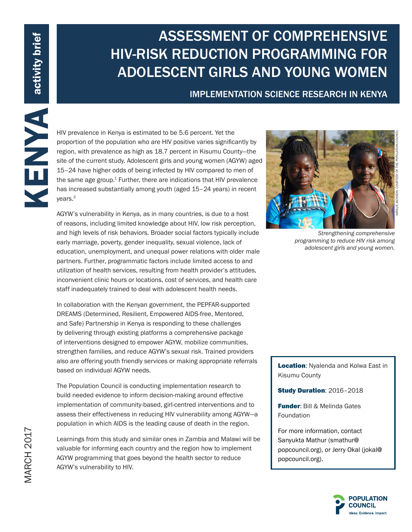# ASSESSMENT OF COMPREHENSIVE HIV-RISK REDUCTION PROGRAMMING FOR ADOLESCENT GIRLS AND YOUNG WOMEN

### IMPLEMENTATION SCIENCE RESEARCH IN KENYA

proportion of the population who are HIV positive varies significantly by region, with prevalence as high as 18.7 percent in Kisumu County—the site of the current study. Adolescent girls and young women (AGYW) aged 15–24 have higher odds of being infected by HIV compared to men of the same age group. $1$  Further, there are indications that HIV prevalence has increased substantially among youth (aged 15-24 years) in recent years.2

HIV prevalence in Kenya is estimated to be 5.6 percent. Yet the proportion of the poulation who are HIV positive varies signification of the poulation of the poulation of the current study. Adolescent girls and young cover AGYW's vulnerability in Kenya, as in many countries, is due to a host of reasons, including limited knowledge about HIV, low risk perception, and high levels of risk behaviors. Broader social factors typically include early marriage, poverty, gender inequality, sexual violence, lack of education, unemployment, and unequal power relations with older male partners. Further, programmatic factors include limited access to and utilization of health services, resulting from health provider's attitudes, inconvenient clinic hours or locations, cost of services, and health care staff inadequately trained to deal with adolescent health needs.

In collaboration with the Kenyan government, the PEPFAR-supported DREAMS (Determined, Resilient, Empowered AIDS-free, Mentored, and Safe) Partnership in Kenya is responding to these challenges by delivering through existing platforms a comprehensive package of interventions designed to empower AGYW, mobilize communities, strengthen families, and reduce AGYW's sexual risk. Trained providers also are offering youth friendly services or making appropriate referrals based on individual AGYW needs.

The Population Council is conducting implementation research to build needed evidence to inform decision-making around effective implementation of community-based, girl-centred interventions and to assess their effectiveness in reducing HIV vulnerability among AGYW—a population in which AIDS is the leading cause of death in the region.

Learnings from this study and similar ones in Zambia and Malawi will be valuable for informing each country and the region how to implement AGYW programming that goes beyond the health sector to reduce AGYW's vulnerability to HIV.



*Strengthening comprehensive programming to reduce HIV risk among adolescent girls and young women.*

Location: Nyalenda and Kolwa East in Kisumu County

Study Duration: 2016–2018

**Funder: Bill & Melinda Gates** Foundation

For more information, contact Sanyukta Mathur (smathur@ popcouncil.org), or Jerry Okal (jokal@ popcouncil.org).